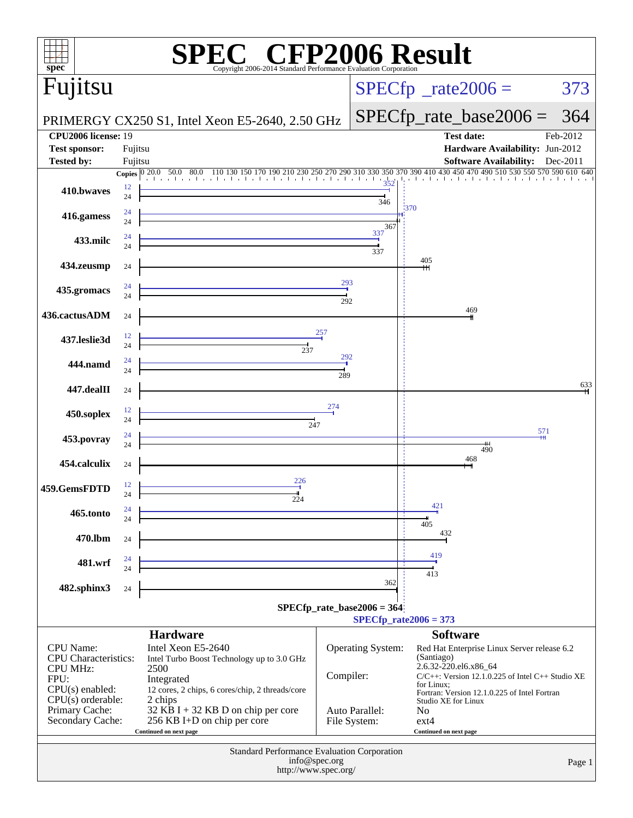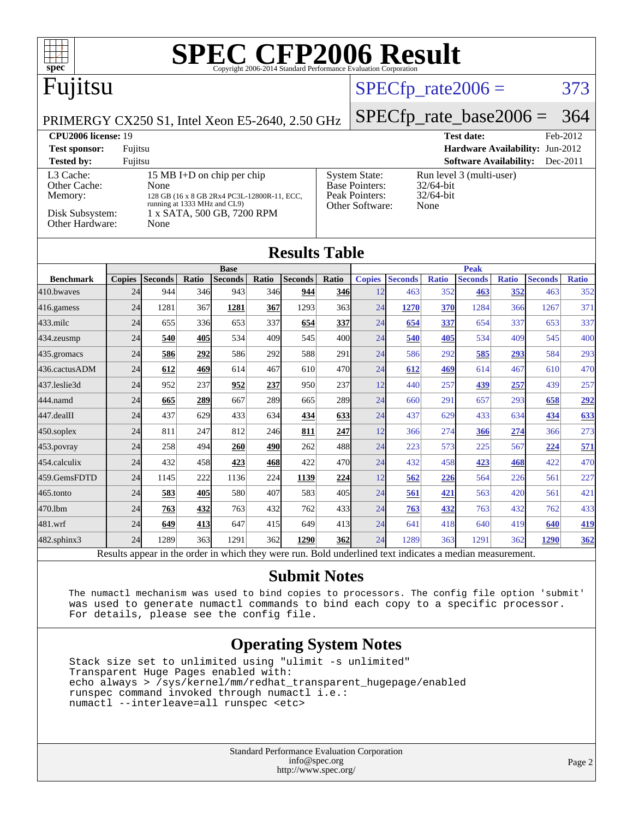

[436.cactusADM](http://www.spec.org/auto/cpu2006/Docs/436.cactusADM.html) 24 **[612](http://www.spec.org/auto/cpu2006/Docs/result-fields.html#Median) [469](http://www.spec.org/auto/cpu2006/Docs/result-fields.html#Median)** 614 467 610 470 24 **[612](http://www.spec.org/auto/cpu2006/Docs/result-fields.html#Median) [469](http://www.spec.org/auto/cpu2006/Docs/result-fields.html#Median)** 614 467 610 470 [437.leslie3d](http://www.spec.org/auto/cpu2006/Docs/437.leslie3d.html) 24 952 237 **[952](http://www.spec.org/auto/cpu2006/Docs/result-fields.html#Median) [237](http://www.spec.org/auto/cpu2006/Docs/result-fields.html#Median)** 950 237 12 440 257 **[439](http://www.spec.org/auto/cpu2006/Docs/result-fields.html#Median) [257](http://www.spec.org/auto/cpu2006/Docs/result-fields.html#Median)** 439 257 [444.namd](http://www.spec.org/auto/cpu2006/Docs/444.namd.html) 24 **[665](http://www.spec.org/auto/cpu2006/Docs/result-fields.html#Median) [289](http://www.spec.org/auto/cpu2006/Docs/result-fields.html#Median)** 667 289 665 289 24 660 291 657 293 **[658](http://www.spec.org/auto/cpu2006/Docs/result-fields.html#Median) [292](http://www.spec.org/auto/cpu2006/Docs/result-fields.html#Median)** [447.dealII](http://www.spec.org/auto/cpu2006/Docs/447.dealII.html) 24 437 629 433 634 **[434](http://www.spec.org/auto/cpu2006/Docs/result-fields.html#Median) [633](http://www.spec.org/auto/cpu2006/Docs/result-fields.html#Median)** 24 437 629 433 634 **[434](http://www.spec.org/auto/cpu2006/Docs/result-fields.html#Median) [633](http://www.spec.org/auto/cpu2006/Docs/result-fields.html#Median)** [450.soplex](http://www.spec.org/auto/cpu2006/Docs/450.soplex.html) 24 811 247 812 246 **[811](http://www.spec.org/auto/cpu2006/Docs/result-fields.html#Median) [247](http://www.spec.org/auto/cpu2006/Docs/result-fields.html#Median)** 12 366 274 **[366](http://www.spec.org/auto/cpu2006/Docs/result-fields.html#Median) [274](http://www.spec.org/auto/cpu2006/Docs/result-fields.html#Median)** 366 273 [453.povray](http://www.spec.org/auto/cpu2006/Docs/453.povray.html) 24 258 494 **[260](http://www.spec.org/auto/cpu2006/Docs/result-fields.html#Median) [490](http://www.spec.org/auto/cpu2006/Docs/result-fields.html#Median)** 262 488 24 223 573 225 567 **[224](http://www.spec.org/auto/cpu2006/Docs/result-fields.html#Median) [571](http://www.spec.org/auto/cpu2006/Docs/result-fields.html#Median)** [454.calculix](http://www.spec.org/auto/cpu2006/Docs/454.calculix.html) 24 432 458 **[423](http://www.spec.org/auto/cpu2006/Docs/result-fields.html#Median) [468](http://www.spec.org/auto/cpu2006/Docs/result-fields.html#Median)** 422 470 24 432 458 **[423](http://www.spec.org/auto/cpu2006/Docs/result-fields.html#Median) [468](http://www.spec.org/auto/cpu2006/Docs/result-fields.html#Median)** 422 470 [459.GemsFDTD](http://www.spec.org/auto/cpu2006/Docs/459.GemsFDTD.html) 24 1145 222 1136 224 **[1139](http://www.spec.org/auto/cpu2006/Docs/result-fields.html#Median) [224](http://www.spec.org/auto/cpu2006/Docs/result-fields.html#Median)** 12 **[562](http://www.spec.org/auto/cpu2006/Docs/result-fields.html#Median) [226](http://www.spec.org/auto/cpu2006/Docs/result-fields.html#Median)** 564 226 561 227 [465.tonto](http://www.spec.org/auto/cpu2006/Docs/465.tonto.html) 24 **[583](http://www.spec.org/auto/cpu2006/Docs/result-fields.html#Median) [405](http://www.spec.org/auto/cpu2006/Docs/result-fields.html#Median)** 580 407 583 405 24 **[561](http://www.spec.org/auto/cpu2006/Docs/result-fields.html#Median) [421](http://www.spec.org/auto/cpu2006/Docs/result-fields.html#Median)** 563 420 561 421 [470.lbm](http://www.spec.org/auto/cpu2006/Docs/470.lbm.html) 24 **[763](http://www.spec.org/auto/cpu2006/Docs/result-fields.html#Median) [432](http://www.spec.org/auto/cpu2006/Docs/result-fields.html#Median)** 763 432 762 433 24 **[763](http://www.spec.org/auto/cpu2006/Docs/result-fields.html#Median) [432](http://www.spec.org/auto/cpu2006/Docs/result-fields.html#Median)** 763 432 762 433 [481.wrf](http://www.spec.org/auto/cpu2006/Docs/481.wrf.html) 24 **[649](http://www.spec.org/auto/cpu2006/Docs/result-fields.html#Median) [413](http://www.spec.org/auto/cpu2006/Docs/result-fields.html#Median)** 647 415 649 413 24 641 418 640 419 **[640](http://www.spec.org/auto/cpu2006/Docs/result-fields.html#Median) [419](http://www.spec.org/auto/cpu2006/Docs/result-fields.html#Median)**

[482.sphinx3](http://www.spec.org/auto/cpu2006/Docs/482.sphinx3.html) 24 1289 363 1291 362 **[1290](http://www.spec.org/auto/cpu2006/Docs/result-fields.html#Median) [362](http://www.spec.org/auto/cpu2006/Docs/result-fields.html#Median)** 24 1289 363 1291 362 **[1290](http://www.spec.org/auto/cpu2006/Docs/result-fields.html#Median) [362](http://www.spec.org/auto/cpu2006/Docs/result-fields.html#Median)** Results appear in the [order in which they were run.](http://www.spec.org/auto/cpu2006/Docs/result-fields.html#RunOrder) Bold underlined text [indicates a median measurement.](http://www.spec.org/auto/cpu2006/Docs/result-fields.html#Median)

#### **[Submit Notes](http://www.spec.org/auto/cpu2006/Docs/result-fields.html#SubmitNotes)**

 The numactl mechanism was used to bind copies to processors. The config file option 'submit' was used to generate numactl commands to bind each copy to a specific processor. For details, please see the config file.

#### **[Operating System Notes](http://www.spec.org/auto/cpu2006/Docs/result-fields.html#OperatingSystemNotes)**

 Stack size set to unlimited using "ulimit -s unlimited" Transparent Huge Pages enabled with: echo always > /sys/kernel/mm/redhat\_transparent\_hugepage/enabled runspec command invoked through numactl i.e.: numactl --interleave=all runspec <etc>

> Standard Performance Evaluation Corporation [info@spec.org](mailto:info@spec.org) <http://www.spec.org/>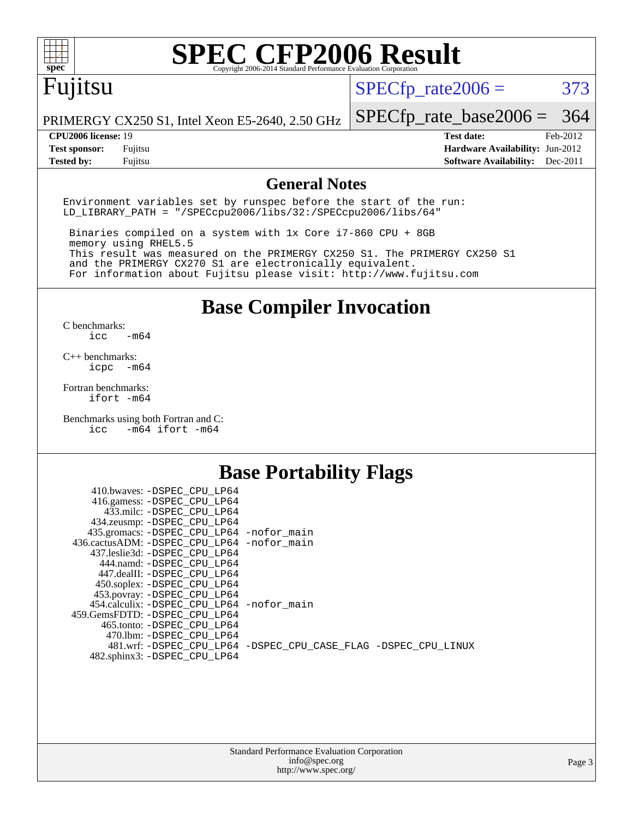

# **[SPEC CFP2006 Result](http://www.spec.org/auto/cpu2006/Docs/result-fields.html#SPECCFP2006Result)**

## Fujitsu

 $SPECTp_rate2006 = 373$ 

PRIMERGY CX250 S1, Intel Xeon E5-2640, 2.50 GHz

[SPECfp\\_rate\\_base2006 =](http://www.spec.org/auto/cpu2006/Docs/result-fields.html#SPECfpratebase2006) 364

**[CPU2006 license:](http://www.spec.org/auto/cpu2006/Docs/result-fields.html#CPU2006license)** 19 **[Test date:](http://www.spec.org/auto/cpu2006/Docs/result-fields.html#Testdate)** Feb-2012 **[Test sponsor:](http://www.spec.org/auto/cpu2006/Docs/result-fields.html#Testsponsor)** Fujitsu **[Hardware Availability:](http://www.spec.org/auto/cpu2006/Docs/result-fields.html#HardwareAvailability)** Jun-2012 **[Tested by:](http://www.spec.org/auto/cpu2006/Docs/result-fields.html#Testedby)** Fujitsu **[Software Availability:](http://www.spec.org/auto/cpu2006/Docs/result-fields.html#SoftwareAvailability)** Dec-2011

#### **[General Notes](http://www.spec.org/auto/cpu2006/Docs/result-fields.html#GeneralNotes)**

Environment variables set by runspec before the start of the run: LD\_LIBRARY\_PATH = "/SPECcpu2006/libs/32:/SPECcpu2006/libs/64"

 Binaries compiled on a system with 1x Core i7-860 CPU + 8GB memory using RHEL5.5 This result was measured on the PRIMERGY CX250 S1. The PRIMERGY CX250 S1 and the PRIMERGY CX270 S1 are electronically equivalent. For information about Fujitsu please visit: <http://www.fujitsu.com>

**[Base Compiler Invocation](http://www.spec.org/auto/cpu2006/Docs/result-fields.html#BaseCompilerInvocation)**

 $C$  benchmarks:<br>icc  $-m64$ 

[C++ benchmarks:](http://www.spec.org/auto/cpu2006/Docs/result-fields.html#CXXbenchmarks) [icpc -m64](http://www.spec.org/cpu2006/results/res2012q3/cpu2006-20120605-22787.flags.html#user_CXXbase_intel_icpc_64bit_bedb90c1146cab66620883ef4f41a67e)

[Fortran benchmarks](http://www.spec.org/auto/cpu2006/Docs/result-fields.html#Fortranbenchmarks): [ifort -m64](http://www.spec.org/cpu2006/results/res2012q3/cpu2006-20120605-22787.flags.html#user_FCbase_intel_ifort_64bit_ee9d0fb25645d0210d97eb0527dcc06e)

[Benchmarks using both Fortran and C](http://www.spec.org/auto/cpu2006/Docs/result-fields.html#BenchmarksusingbothFortranandC): [icc -m64](http://www.spec.org/cpu2006/results/res2012q3/cpu2006-20120605-22787.flags.html#user_CC_FCbase_intel_icc_64bit_0b7121f5ab7cfabee23d88897260401c) [ifort -m64](http://www.spec.org/cpu2006/results/res2012q3/cpu2006-20120605-22787.flags.html#user_CC_FCbase_intel_ifort_64bit_ee9d0fb25645d0210d97eb0527dcc06e)

#### **[Base Portability Flags](http://www.spec.org/auto/cpu2006/Docs/result-fields.html#BasePortabilityFlags)**

| 410.bwaves: -DSPEC CPU LP64                 |                                                                |
|---------------------------------------------|----------------------------------------------------------------|
| 416.gamess: -DSPEC_CPU_LP64                 |                                                                |
| 433.milc: -DSPEC CPU LP64                   |                                                                |
| 434.zeusmp: -DSPEC_CPU_LP64                 |                                                                |
| 435.gromacs: -DSPEC_CPU_LP64 -nofor_main    |                                                                |
| 436.cactusADM: -DSPEC CPU LP64 -nofor main  |                                                                |
| 437.leslie3d: -DSPEC CPU LP64               |                                                                |
| 444.namd: -DSPEC CPU LP64                   |                                                                |
| 447.dealII: -DSPEC CPU LP64                 |                                                                |
| 450.soplex: -DSPEC_CPU_LP64                 |                                                                |
| 453.povray: -DSPEC_CPU_LP64                 |                                                                |
| 454.calculix: - DSPEC CPU LP64 - nofor main |                                                                |
| 459. GemsFDTD: - DSPEC CPU LP64             |                                                                |
| 465.tonto: - DSPEC CPU LP64                 |                                                                |
| 470.1bm: - DSPEC CPU LP64                   |                                                                |
|                                             | 481.wrf: -DSPEC CPU_LP64 -DSPEC_CPU_CASE_FLAG -DSPEC_CPU_LINUX |
| 482.sphinx3: -DSPEC_CPU_LP64                |                                                                |
|                                             |                                                                |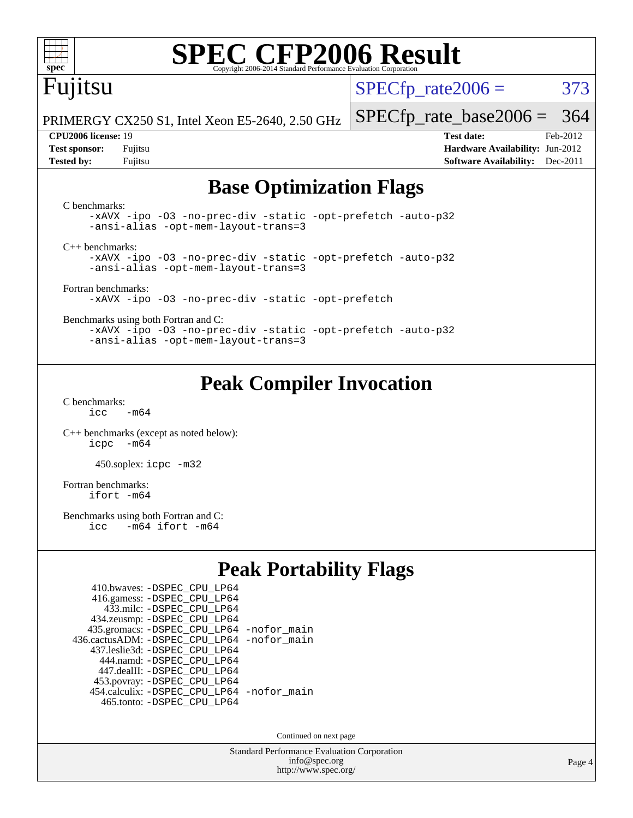

# **[SPEC CFP2006 Result](http://www.spec.org/auto/cpu2006/Docs/result-fields.html#SPECCFP2006Result)**

## Fujitsu

 $SPECTp\_rate2006 = 373$ 

PRIMERGY CX250 S1, Intel Xeon E5-2640, 2.50 GHz

[SPECfp\\_rate\\_base2006 =](http://www.spec.org/auto/cpu2006/Docs/result-fields.html#SPECfpratebase2006) 364

**[CPU2006 license:](http://www.spec.org/auto/cpu2006/Docs/result-fields.html#CPU2006license)** 19 **[Test date:](http://www.spec.org/auto/cpu2006/Docs/result-fields.html#Testdate)** Feb-2012 **[Test sponsor:](http://www.spec.org/auto/cpu2006/Docs/result-fields.html#Testsponsor)** Fujitsu **[Hardware Availability:](http://www.spec.org/auto/cpu2006/Docs/result-fields.html#HardwareAvailability)** Jun-2012 **[Tested by:](http://www.spec.org/auto/cpu2006/Docs/result-fields.html#Testedby)** Fujitsu **[Software Availability:](http://www.spec.org/auto/cpu2006/Docs/result-fields.html#SoftwareAvailability)** Dec-2011

#### **[Base Optimization Flags](http://www.spec.org/auto/cpu2006/Docs/result-fields.html#BaseOptimizationFlags)**

[C benchmarks](http://www.spec.org/auto/cpu2006/Docs/result-fields.html#Cbenchmarks): [-xAVX](http://www.spec.org/cpu2006/results/res2012q3/cpu2006-20120605-22787.flags.html#user_CCbase_f-xAVX) [-ipo](http://www.spec.org/cpu2006/results/res2012q3/cpu2006-20120605-22787.flags.html#user_CCbase_f-ipo) [-O3](http://www.spec.org/cpu2006/results/res2012q3/cpu2006-20120605-22787.flags.html#user_CCbase_f-O3) [-no-prec-div](http://www.spec.org/cpu2006/results/res2012q3/cpu2006-20120605-22787.flags.html#user_CCbase_f-no-prec-div) [-static](http://www.spec.org/cpu2006/results/res2012q3/cpu2006-20120605-22787.flags.html#user_CCbase_f-static) [-opt-prefetch](http://www.spec.org/cpu2006/results/res2012q3/cpu2006-20120605-22787.flags.html#user_CCbase_f-opt-prefetch) [-auto-p32](http://www.spec.org/cpu2006/results/res2012q3/cpu2006-20120605-22787.flags.html#user_CCbase_f-auto-p32) [-ansi-alias](http://www.spec.org/cpu2006/results/res2012q3/cpu2006-20120605-22787.flags.html#user_CCbase_f-ansi-alias) [-opt-mem-layout-trans=3](http://www.spec.org/cpu2006/results/res2012q3/cpu2006-20120605-22787.flags.html#user_CCbase_f-opt-mem-layout-trans_a7b82ad4bd7abf52556d4961a2ae94d5) [C++ benchmarks:](http://www.spec.org/auto/cpu2006/Docs/result-fields.html#CXXbenchmarks) [-xAVX](http://www.spec.org/cpu2006/results/res2012q3/cpu2006-20120605-22787.flags.html#user_CXXbase_f-xAVX) [-ipo](http://www.spec.org/cpu2006/results/res2012q3/cpu2006-20120605-22787.flags.html#user_CXXbase_f-ipo) [-O3](http://www.spec.org/cpu2006/results/res2012q3/cpu2006-20120605-22787.flags.html#user_CXXbase_f-O3) [-no-prec-div](http://www.spec.org/cpu2006/results/res2012q3/cpu2006-20120605-22787.flags.html#user_CXXbase_f-no-prec-div) [-static](http://www.spec.org/cpu2006/results/res2012q3/cpu2006-20120605-22787.flags.html#user_CXXbase_f-static) [-opt-prefetch](http://www.spec.org/cpu2006/results/res2012q3/cpu2006-20120605-22787.flags.html#user_CXXbase_f-opt-prefetch) [-auto-p32](http://www.spec.org/cpu2006/results/res2012q3/cpu2006-20120605-22787.flags.html#user_CXXbase_f-auto-p32) [-ansi-alias](http://www.spec.org/cpu2006/results/res2012q3/cpu2006-20120605-22787.flags.html#user_CXXbase_f-ansi-alias) [-opt-mem-layout-trans=3](http://www.spec.org/cpu2006/results/res2012q3/cpu2006-20120605-22787.flags.html#user_CXXbase_f-opt-mem-layout-trans_a7b82ad4bd7abf52556d4961a2ae94d5) [Fortran benchmarks](http://www.spec.org/auto/cpu2006/Docs/result-fields.html#Fortranbenchmarks): [-xAVX](http://www.spec.org/cpu2006/results/res2012q3/cpu2006-20120605-22787.flags.html#user_FCbase_f-xAVX) [-ipo](http://www.spec.org/cpu2006/results/res2012q3/cpu2006-20120605-22787.flags.html#user_FCbase_f-ipo) [-O3](http://www.spec.org/cpu2006/results/res2012q3/cpu2006-20120605-22787.flags.html#user_FCbase_f-O3) [-no-prec-div](http://www.spec.org/cpu2006/results/res2012q3/cpu2006-20120605-22787.flags.html#user_FCbase_f-no-prec-div) [-static](http://www.spec.org/cpu2006/results/res2012q3/cpu2006-20120605-22787.flags.html#user_FCbase_f-static) [-opt-prefetch](http://www.spec.org/cpu2006/results/res2012q3/cpu2006-20120605-22787.flags.html#user_FCbase_f-opt-prefetch) [Benchmarks using both Fortran and C](http://www.spec.org/auto/cpu2006/Docs/result-fields.html#BenchmarksusingbothFortranandC): [-xAVX](http://www.spec.org/cpu2006/results/res2012q3/cpu2006-20120605-22787.flags.html#user_CC_FCbase_f-xAVX) [-ipo](http://www.spec.org/cpu2006/results/res2012q3/cpu2006-20120605-22787.flags.html#user_CC_FCbase_f-ipo) [-O3](http://www.spec.org/cpu2006/results/res2012q3/cpu2006-20120605-22787.flags.html#user_CC_FCbase_f-O3) [-no-prec-div](http://www.spec.org/cpu2006/results/res2012q3/cpu2006-20120605-22787.flags.html#user_CC_FCbase_f-no-prec-div) [-static](http://www.spec.org/cpu2006/results/res2012q3/cpu2006-20120605-22787.flags.html#user_CC_FCbase_f-static) [-opt-prefetch](http://www.spec.org/cpu2006/results/res2012q3/cpu2006-20120605-22787.flags.html#user_CC_FCbase_f-opt-prefetch) [-auto-p32](http://www.spec.org/cpu2006/results/res2012q3/cpu2006-20120605-22787.flags.html#user_CC_FCbase_f-auto-p32) [-ansi-alias](http://www.spec.org/cpu2006/results/res2012q3/cpu2006-20120605-22787.flags.html#user_CC_FCbase_f-ansi-alias) [-opt-mem-layout-trans=3](http://www.spec.org/cpu2006/results/res2012q3/cpu2006-20120605-22787.flags.html#user_CC_FCbase_f-opt-mem-layout-trans_a7b82ad4bd7abf52556d4961a2ae94d5)

### **[Peak Compiler Invocation](http://www.spec.org/auto/cpu2006/Docs/result-fields.html#PeakCompilerInvocation)**

[C benchmarks](http://www.spec.org/auto/cpu2006/Docs/result-fields.html#Cbenchmarks):

 $icc$   $-m64$ 

[C++ benchmarks \(except as noted below\):](http://www.spec.org/auto/cpu2006/Docs/result-fields.html#CXXbenchmarksexceptasnotedbelow) [icpc -m64](http://www.spec.org/cpu2006/results/res2012q3/cpu2006-20120605-22787.flags.html#user_CXXpeak_intel_icpc_64bit_bedb90c1146cab66620883ef4f41a67e)

450.soplex: [icpc -m32](http://www.spec.org/cpu2006/results/res2012q3/cpu2006-20120605-22787.flags.html#user_peakCXXLD450_soplex_intel_icpc_4e5a5ef1a53fd332b3c49e69c3330699)

[Fortran benchmarks](http://www.spec.org/auto/cpu2006/Docs/result-fields.html#Fortranbenchmarks): [ifort -m64](http://www.spec.org/cpu2006/results/res2012q3/cpu2006-20120605-22787.flags.html#user_FCpeak_intel_ifort_64bit_ee9d0fb25645d0210d97eb0527dcc06e)

[Benchmarks using both Fortran and C](http://www.spec.org/auto/cpu2006/Docs/result-fields.html#BenchmarksusingbothFortranandC):<br>icc -m64 ifort -m64  $-m64$  ifort  $-m64$ 

#### **[Peak Portability Flags](http://www.spec.org/auto/cpu2006/Docs/result-fields.html#PeakPortabilityFlags)**

| 410.bwaves: - DSPEC CPU LP64                 |  |
|----------------------------------------------|--|
| 416.gamess: -DSPEC_CPU_LP64                  |  |
| 433.milc: -DSPEC CPU LP64                    |  |
| 434.zeusmp: - DSPEC_CPU_LP64                 |  |
| 435.gromacs: -DSPEC_CPU_LP64 -nofor_main     |  |
| 436.cactusADM: - DSPEC CPU LP64 - nofor main |  |
| 437.leslie3d: -DSPEC CPU LP64                |  |
| 444.namd: - DSPEC CPU LP64                   |  |
| 447.dealII: -DSPEC CPU LP64                  |  |
| 453.povray: -DSPEC_CPU_LP64                  |  |
| 454.calculix: - DSPEC CPU LP64 - nofor main  |  |
| 465.tonto: -DSPEC CPU LP64                   |  |

Continued on next page

Standard Performance Evaluation Corporation [info@spec.org](mailto:info@spec.org) <http://www.spec.org/>

Page 4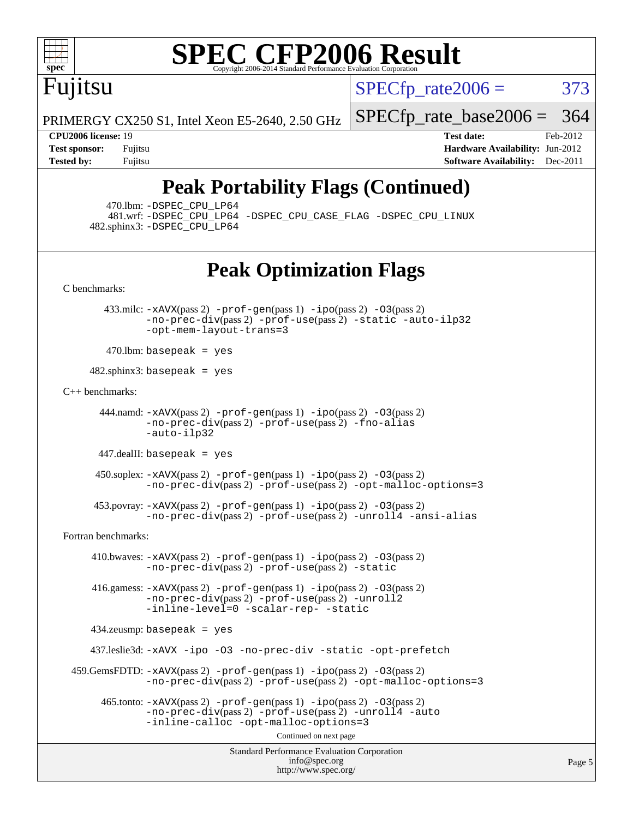

# **[SPEC CFP2006 Result](http://www.spec.org/auto/cpu2006/Docs/result-fields.html#SPECCFP2006Result)**

Fujitsu

 $SPECTp\_rate2006 = 373$ 

PRIMERGY CX250 S1, Intel Xeon E5-2640, 2.50 GHz

**[Test sponsor:](http://www.spec.org/auto/cpu2006/Docs/result-fields.html#Testsponsor)** Fujitsu **[Hardware Availability:](http://www.spec.org/auto/cpu2006/Docs/result-fields.html#HardwareAvailability)** Jun-2012 **[Tested by:](http://www.spec.org/auto/cpu2006/Docs/result-fields.html#Testedby)** Fujitsu **Fugital Example 2011 [Software Availability:](http://www.spec.org/auto/cpu2006/Docs/result-fields.html#SoftwareAvailability)** Dec-2011

[SPECfp\\_rate\\_base2006 =](http://www.spec.org/auto/cpu2006/Docs/result-fields.html#SPECfpratebase2006) 364 **[CPU2006 license:](http://www.spec.org/auto/cpu2006/Docs/result-fields.html#CPU2006license)** 19 **[Test date:](http://www.spec.org/auto/cpu2006/Docs/result-fields.html#Testdate)** Feb-2012

## **[Peak Portability Flags \(Continued\)](http://www.spec.org/auto/cpu2006/Docs/result-fields.html#PeakPortabilityFlags)**

470.lbm: [-DSPEC\\_CPU\\_LP64](http://www.spec.org/cpu2006/results/res2012q3/cpu2006-20120605-22787.flags.html#suite_peakPORTABILITY470_lbm_DSPEC_CPU_LP64)

 481.wrf: [-DSPEC\\_CPU\\_LP64](http://www.spec.org/cpu2006/results/res2012q3/cpu2006-20120605-22787.flags.html#suite_peakPORTABILITY481_wrf_DSPEC_CPU_LP64) [-DSPEC\\_CPU\\_CASE\\_FLAG](http://www.spec.org/cpu2006/results/res2012q3/cpu2006-20120605-22787.flags.html#b481.wrf_peakCPORTABILITY_DSPEC_CPU_CASE_FLAG) [-DSPEC\\_CPU\\_LINUX](http://www.spec.org/cpu2006/results/res2012q3/cpu2006-20120605-22787.flags.html#b481.wrf_peakCPORTABILITY_DSPEC_CPU_LINUX) 482.sphinx3: [-DSPEC\\_CPU\\_LP64](http://www.spec.org/cpu2006/results/res2012q3/cpu2006-20120605-22787.flags.html#suite_peakPORTABILITY482_sphinx3_DSPEC_CPU_LP64)

### **[Peak Optimization Flags](http://www.spec.org/auto/cpu2006/Docs/result-fields.html#PeakOptimizationFlags)**

[C benchmarks](http://www.spec.org/auto/cpu2006/Docs/result-fields.html#Cbenchmarks):

 433.milc: [-xAVX](http://www.spec.org/cpu2006/results/res2012q3/cpu2006-20120605-22787.flags.html#user_peakPASS2_CFLAGSPASS2_LDFLAGS433_milc_f-xAVX)(pass 2) [-prof-gen](http://www.spec.org/cpu2006/results/res2012q3/cpu2006-20120605-22787.flags.html#user_peakPASS1_CFLAGSPASS1_LDFLAGS433_milc_prof_gen_e43856698f6ca7b7e442dfd80e94a8fc)(pass 1) [-ipo](http://www.spec.org/cpu2006/results/res2012q3/cpu2006-20120605-22787.flags.html#user_peakPASS2_CFLAGSPASS2_LDFLAGS433_milc_f-ipo)(pass 2) [-O3](http://www.spec.org/cpu2006/results/res2012q3/cpu2006-20120605-22787.flags.html#user_peakPASS2_CFLAGSPASS2_LDFLAGS433_milc_f-O3)(pass 2) [-no-prec-div](http://www.spec.org/cpu2006/results/res2012q3/cpu2006-20120605-22787.flags.html#user_peakPASS2_CFLAGSPASS2_LDFLAGS433_milc_f-no-prec-div)(pass 2) [-prof-use](http://www.spec.org/cpu2006/results/res2012q3/cpu2006-20120605-22787.flags.html#user_peakPASS2_CFLAGSPASS2_LDFLAGS433_milc_prof_use_bccf7792157ff70d64e32fe3e1250b55)(pass 2) [-static](http://www.spec.org/cpu2006/results/res2012q3/cpu2006-20120605-22787.flags.html#user_peakOPTIMIZE433_milc_f-static) [-auto-ilp32](http://www.spec.org/cpu2006/results/res2012q3/cpu2006-20120605-22787.flags.html#user_peakCOPTIMIZE433_milc_f-auto-ilp32) [-opt-mem-layout-trans=3](http://www.spec.org/cpu2006/results/res2012q3/cpu2006-20120605-22787.flags.html#user_peakCOPTIMIZE433_milc_f-opt-mem-layout-trans_a7b82ad4bd7abf52556d4961a2ae94d5)

 $470$ .lbm: basepeak = yes

 $482$ .sphinx $3$ : basepeak = yes

[C++ benchmarks:](http://www.spec.org/auto/cpu2006/Docs/result-fields.html#CXXbenchmarks)

 444.namd: [-xAVX](http://www.spec.org/cpu2006/results/res2012q3/cpu2006-20120605-22787.flags.html#user_peakPASS2_CXXFLAGSPASS2_LDFLAGS444_namd_f-xAVX)(pass 2) [-prof-gen](http://www.spec.org/cpu2006/results/res2012q3/cpu2006-20120605-22787.flags.html#user_peakPASS1_CXXFLAGSPASS1_LDFLAGS444_namd_prof_gen_e43856698f6ca7b7e442dfd80e94a8fc)(pass 1) [-ipo](http://www.spec.org/cpu2006/results/res2012q3/cpu2006-20120605-22787.flags.html#user_peakPASS2_CXXFLAGSPASS2_LDFLAGS444_namd_f-ipo)(pass 2) [-O3](http://www.spec.org/cpu2006/results/res2012q3/cpu2006-20120605-22787.flags.html#user_peakPASS2_CXXFLAGSPASS2_LDFLAGS444_namd_f-O3)(pass 2) [-no-prec-div](http://www.spec.org/cpu2006/results/res2012q3/cpu2006-20120605-22787.flags.html#user_peakPASS2_CXXFLAGSPASS2_LDFLAGS444_namd_f-no-prec-div)(pass 2) [-prof-use](http://www.spec.org/cpu2006/results/res2012q3/cpu2006-20120605-22787.flags.html#user_peakPASS2_CXXFLAGSPASS2_LDFLAGS444_namd_prof_use_bccf7792157ff70d64e32fe3e1250b55)(pass 2) [-fno-alias](http://www.spec.org/cpu2006/results/res2012q3/cpu2006-20120605-22787.flags.html#user_peakCXXOPTIMIZE444_namd_f-no-alias_694e77f6c5a51e658e82ccff53a9e63a) [-auto-ilp32](http://www.spec.org/cpu2006/results/res2012q3/cpu2006-20120605-22787.flags.html#user_peakCXXOPTIMIZE444_namd_f-auto-ilp32)

447.dealII: basepeak = yes

 450.soplex: [-xAVX](http://www.spec.org/cpu2006/results/res2012q3/cpu2006-20120605-22787.flags.html#user_peakPASS2_CXXFLAGSPASS2_LDFLAGS450_soplex_f-xAVX)(pass 2) [-prof-gen](http://www.spec.org/cpu2006/results/res2012q3/cpu2006-20120605-22787.flags.html#user_peakPASS1_CXXFLAGSPASS1_LDFLAGS450_soplex_prof_gen_e43856698f6ca7b7e442dfd80e94a8fc)(pass 1) [-ipo](http://www.spec.org/cpu2006/results/res2012q3/cpu2006-20120605-22787.flags.html#user_peakPASS2_CXXFLAGSPASS2_LDFLAGS450_soplex_f-ipo)(pass 2) [-O3](http://www.spec.org/cpu2006/results/res2012q3/cpu2006-20120605-22787.flags.html#user_peakPASS2_CXXFLAGSPASS2_LDFLAGS450_soplex_f-O3)(pass 2) [-no-prec-div](http://www.spec.org/cpu2006/results/res2012q3/cpu2006-20120605-22787.flags.html#user_peakPASS2_CXXFLAGSPASS2_LDFLAGS450_soplex_f-no-prec-div)(pass 2) [-prof-use](http://www.spec.org/cpu2006/results/res2012q3/cpu2006-20120605-22787.flags.html#user_peakPASS2_CXXFLAGSPASS2_LDFLAGS450_soplex_prof_use_bccf7792157ff70d64e32fe3e1250b55)(pass 2) [-opt-malloc-options=3](http://www.spec.org/cpu2006/results/res2012q3/cpu2006-20120605-22787.flags.html#user_peakOPTIMIZE450_soplex_f-opt-malloc-options_13ab9b803cf986b4ee62f0a5998c2238)

 453.povray: [-xAVX](http://www.spec.org/cpu2006/results/res2012q3/cpu2006-20120605-22787.flags.html#user_peakPASS2_CXXFLAGSPASS2_LDFLAGS453_povray_f-xAVX)(pass 2) [-prof-gen](http://www.spec.org/cpu2006/results/res2012q3/cpu2006-20120605-22787.flags.html#user_peakPASS1_CXXFLAGSPASS1_LDFLAGS453_povray_prof_gen_e43856698f6ca7b7e442dfd80e94a8fc)(pass 1) [-ipo](http://www.spec.org/cpu2006/results/res2012q3/cpu2006-20120605-22787.flags.html#user_peakPASS2_CXXFLAGSPASS2_LDFLAGS453_povray_f-ipo)(pass 2) [-O3](http://www.spec.org/cpu2006/results/res2012q3/cpu2006-20120605-22787.flags.html#user_peakPASS2_CXXFLAGSPASS2_LDFLAGS453_povray_f-O3)(pass 2)  $-$ no-prec-div(pass 2) [-prof-use](http://www.spec.org/cpu2006/results/res2012q3/cpu2006-20120605-22787.flags.html#user_peakPASS2_CXXFLAGSPASS2_LDFLAGS453_povray_prof_use_bccf7792157ff70d64e32fe3e1250b55)(pass 2) [-unroll4](http://www.spec.org/cpu2006/results/res2012q3/cpu2006-20120605-22787.flags.html#user_peakCXXOPTIMIZE453_povray_f-unroll_4e5e4ed65b7fd20bdcd365bec371b81f) [-ansi-alias](http://www.spec.org/cpu2006/results/res2012q3/cpu2006-20120605-22787.flags.html#user_peakCXXOPTIMIZE453_povray_f-ansi-alias)

[Fortran benchmarks](http://www.spec.org/auto/cpu2006/Docs/result-fields.html#Fortranbenchmarks):

 410.bwaves: [-xAVX](http://www.spec.org/cpu2006/results/res2012q3/cpu2006-20120605-22787.flags.html#user_peakPASS2_FFLAGSPASS2_LDFLAGS410_bwaves_f-xAVX)(pass 2) [-prof-gen](http://www.spec.org/cpu2006/results/res2012q3/cpu2006-20120605-22787.flags.html#user_peakPASS1_FFLAGSPASS1_LDFLAGS410_bwaves_prof_gen_e43856698f6ca7b7e442dfd80e94a8fc)(pass 1) [-ipo](http://www.spec.org/cpu2006/results/res2012q3/cpu2006-20120605-22787.flags.html#user_peakPASS2_FFLAGSPASS2_LDFLAGS410_bwaves_f-ipo)(pass 2) [-O3](http://www.spec.org/cpu2006/results/res2012q3/cpu2006-20120605-22787.flags.html#user_peakPASS2_FFLAGSPASS2_LDFLAGS410_bwaves_f-O3)(pass 2) [-no-prec-div](http://www.spec.org/cpu2006/results/res2012q3/cpu2006-20120605-22787.flags.html#user_peakPASS2_FFLAGSPASS2_LDFLAGS410_bwaves_f-no-prec-div)(pass 2) [-prof-use](http://www.spec.org/cpu2006/results/res2012q3/cpu2006-20120605-22787.flags.html#user_peakPASS2_FFLAGSPASS2_LDFLAGS410_bwaves_prof_use_bccf7792157ff70d64e32fe3e1250b55)(pass 2) [-static](http://www.spec.org/cpu2006/results/res2012q3/cpu2006-20120605-22787.flags.html#user_peakOPTIMIZE410_bwaves_f-static)

 416.gamess: [-xAVX](http://www.spec.org/cpu2006/results/res2012q3/cpu2006-20120605-22787.flags.html#user_peakPASS2_FFLAGSPASS2_LDFLAGS416_gamess_f-xAVX)(pass 2) [-prof-gen](http://www.spec.org/cpu2006/results/res2012q3/cpu2006-20120605-22787.flags.html#user_peakPASS1_FFLAGSPASS1_LDFLAGS416_gamess_prof_gen_e43856698f6ca7b7e442dfd80e94a8fc)(pass 1) [-ipo](http://www.spec.org/cpu2006/results/res2012q3/cpu2006-20120605-22787.flags.html#user_peakPASS2_FFLAGSPASS2_LDFLAGS416_gamess_f-ipo)(pass 2) [-O3](http://www.spec.org/cpu2006/results/res2012q3/cpu2006-20120605-22787.flags.html#user_peakPASS2_FFLAGSPASS2_LDFLAGS416_gamess_f-O3)(pass 2) [-no-prec-div](http://www.spec.org/cpu2006/results/res2012q3/cpu2006-20120605-22787.flags.html#user_peakPASS2_FFLAGSPASS2_LDFLAGS416_gamess_f-no-prec-div)(pass 2) [-prof-use](http://www.spec.org/cpu2006/results/res2012q3/cpu2006-20120605-22787.flags.html#user_peakPASS2_FFLAGSPASS2_LDFLAGS416_gamess_prof_use_bccf7792157ff70d64e32fe3e1250b55)(pass 2) [-unroll2](http://www.spec.org/cpu2006/results/res2012q3/cpu2006-20120605-22787.flags.html#user_peakOPTIMIZE416_gamess_f-unroll_784dae83bebfb236979b41d2422d7ec2) [-inline-level=0](http://www.spec.org/cpu2006/results/res2012q3/cpu2006-20120605-22787.flags.html#user_peakOPTIMIZE416_gamess_f-inline-level_318d07a09274ad25e8d15dbfaa68ba50) [-scalar-rep-](http://www.spec.org/cpu2006/results/res2012q3/cpu2006-20120605-22787.flags.html#user_peakOPTIMIZE416_gamess_f-disablescalarrep_abbcad04450fb118e4809c81d83c8a1d) [-static](http://www.spec.org/cpu2006/results/res2012q3/cpu2006-20120605-22787.flags.html#user_peakOPTIMIZE416_gamess_f-static)

434.zeusmp: basepeak = yes

437.leslie3d: [-xAVX](http://www.spec.org/cpu2006/results/res2012q3/cpu2006-20120605-22787.flags.html#user_peakOPTIMIZE437_leslie3d_f-xAVX) [-ipo](http://www.spec.org/cpu2006/results/res2012q3/cpu2006-20120605-22787.flags.html#user_peakOPTIMIZE437_leslie3d_f-ipo) [-O3](http://www.spec.org/cpu2006/results/res2012q3/cpu2006-20120605-22787.flags.html#user_peakOPTIMIZE437_leslie3d_f-O3) [-no-prec-div](http://www.spec.org/cpu2006/results/res2012q3/cpu2006-20120605-22787.flags.html#user_peakOPTIMIZE437_leslie3d_f-no-prec-div) [-static](http://www.spec.org/cpu2006/results/res2012q3/cpu2006-20120605-22787.flags.html#user_peakOPTIMIZE437_leslie3d_f-static) [-opt-prefetch](http://www.spec.org/cpu2006/results/res2012q3/cpu2006-20120605-22787.flags.html#user_peakOPTIMIZE437_leslie3d_f-opt-prefetch)

 459.GemsFDTD: [-xAVX](http://www.spec.org/cpu2006/results/res2012q3/cpu2006-20120605-22787.flags.html#user_peakPASS2_FFLAGSPASS2_LDFLAGS459_GemsFDTD_f-xAVX)(pass 2) [-prof-gen](http://www.spec.org/cpu2006/results/res2012q3/cpu2006-20120605-22787.flags.html#user_peakPASS1_FFLAGSPASS1_LDFLAGS459_GemsFDTD_prof_gen_e43856698f6ca7b7e442dfd80e94a8fc)(pass 1) [-ipo](http://www.spec.org/cpu2006/results/res2012q3/cpu2006-20120605-22787.flags.html#user_peakPASS2_FFLAGSPASS2_LDFLAGS459_GemsFDTD_f-ipo)(pass 2) [-O3](http://www.spec.org/cpu2006/results/res2012q3/cpu2006-20120605-22787.flags.html#user_peakPASS2_FFLAGSPASS2_LDFLAGS459_GemsFDTD_f-O3)(pass 2) [-no-prec-div](http://www.spec.org/cpu2006/results/res2012q3/cpu2006-20120605-22787.flags.html#user_peakPASS2_FFLAGSPASS2_LDFLAGS459_GemsFDTD_f-no-prec-div)(pass 2) [-prof-use](http://www.spec.org/cpu2006/results/res2012q3/cpu2006-20120605-22787.flags.html#user_peakPASS2_FFLAGSPASS2_LDFLAGS459_GemsFDTD_prof_use_bccf7792157ff70d64e32fe3e1250b55)(pass 2) [-opt-malloc-options=3](http://www.spec.org/cpu2006/results/res2012q3/cpu2006-20120605-22787.flags.html#user_peakOPTIMIZE459_GemsFDTD_f-opt-malloc-options_13ab9b803cf986b4ee62f0a5998c2238)

 $465$ .tonto:  $-x$ AVX(pass 2)  $-p$ rof-gen(pass 1)  $-p$ o(pass 2)  $-03$ (pass 2) [-no-prec-div](http://www.spec.org/cpu2006/results/res2012q3/cpu2006-20120605-22787.flags.html#user_peakPASS2_FFLAGSPASS2_LDFLAGS465_tonto_f-no-prec-div)(pass 2) [-prof-use](http://www.spec.org/cpu2006/results/res2012q3/cpu2006-20120605-22787.flags.html#user_peakPASS2_FFLAGSPASS2_LDFLAGS465_tonto_prof_use_bccf7792157ff70d64e32fe3e1250b55)(pass 2) [-unroll4](http://www.spec.org/cpu2006/results/res2012q3/cpu2006-20120605-22787.flags.html#user_peakOPTIMIZE465_tonto_f-unroll_4e5e4ed65b7fd20bdcd365bec371b81f) [-auto](http://www.spec.org/cpu2006/results/res2012q3/cpu2006-20120605-22787.flags.html#user_peakOPTIMIZE465_tonto_f-auto) [-inline-calloc](http://www.spec.org/cpu2006/results/res2012q3/cpu2006-20120605-22787.flags.html#user_peakOPTIMIZE465_tonto_f-inline-calloc) [-opt-malloc-options=3](http://www.spec.org/cpu2006/results/res2012q3/cpu2006-20120605-22787.flags.html#user_peakOPTIMIZE465_tonto_f-opt-malloc-options_13ab9b803cf986b4ee62f0a5998c2238)

Continued on next page

Standard Performance Evaluation Corporation [info@spec.org](mailto:info@spec.org) <http://www.spec.org/>

Page 5